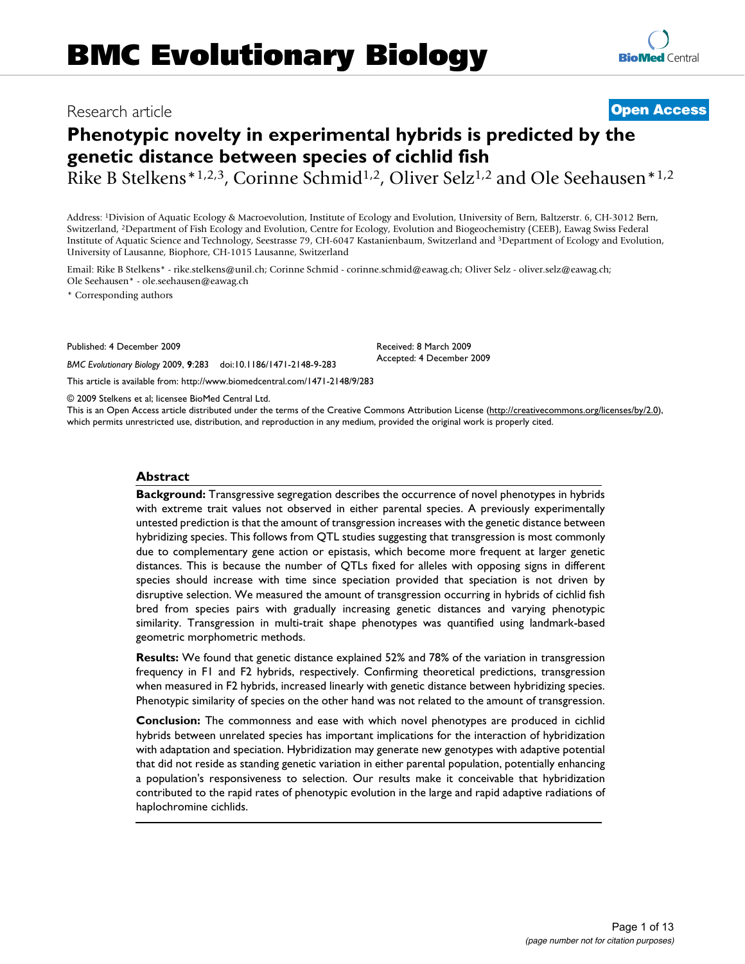# Research article **Contract Contract Contract Contract Contract Contract Contract Contract Contract Contract Contract Contract Contract Contract Contract Contract Contract Contract Contract Contract Contract Contract Contra**

# **Phenotypic novelty in experimental hybrids is predicted by the genetic distance between species of cichlid fish**

Rike B Stelkens<sup>\*1,2,3</sup>, Corinne Schmid<sup>1,2</sup>, Oliver Selz<sup>1,2</sup> and Ole Seehausen<sup>\*1,2</sup>

Address: 1Division of Aquatic Ecology & Macroevolution, Institute of Ecology and Evolution, University of Bern, Baltzerstr. 6, CH-3012 Bern, Switzerland, 2Department of Fish Ecology and Evolution, Centre for Ecology, Evolution and Biogeochemistry (CEEB), Eawag Swiss Federal Institute of Aquatic Science and Technology, Seestrasse 79, CH-6047 Kastanienbaum, Switzerland and 3Department of Ecology and Evolution, University of Lausanne, Biophore, CH-1015 Lausanne, Switzerland

Email: Rike B Stelkens\* - rike.stelkens@unil.ch; Corinne Schmid - corinne.schmid@eawag.ch; Oliver Selz - oliver.selz@eawag.ch; Ole Seehausen\* - ole.seehausen@eawag.ch

\* Corresponding authors

Published: 4 December 2009

*BMC Evolutionary Biology* 2009, **9**:283 doi:10.1186/1471-2148-9-283

[This article is available from: http://www.biomedcentral.com/1471-2148/9/283](http://www.biomedcentral.com/1471-2148/9/283)

© 2009 Stelkens et al; licensee BioMed Central Ltd.

This is an Open Access article distributed under the terms of the Creative Commons Attribution License [\(http://creativecommons.org/licenses/by/2.0\)](http://creativecommons.org/licenses/by/2.0), which permits unrestricted use, distribution, and reproduction in any medium, provided the original work is properly cited.

#### **Abstract**

**Background:** Transgressive segregation describes the occurrence of novel phenotypes in hybrids with extreme trait values not observed in either parental species. A previously experimentally untested prediction is that the amount of transgression increases with the genetic distance between hybridizing species. This follows from QTL studies suggesting that transgression is most commonly due to complementary gene action or epistasis, which become more frequent at larger genetic distances. This is because the number of QTLs fixed for alleles with opposing signs in different species should increase with time since speciation provided that speciation is not driven by disruptive selection. We measured the amount of transgression occurring in hybrids of cichlid fish bred from species pairs with gradually increasing genetic distances and varying phenotypic similarity. Transgression in multi-trait shape phenotypes was quantified using landmark-based geometric morphometric methods.

**Results:** We found that genetic distance explained 52% and 78% of the variation in transgression frequency in F1 and F2 hybrids, respectively. Confirming theoretical predictions, transgression when measured in F2 hybrids, increased linearly with genetic distance between hybridizing species. Phenotypic similarity of species on the other hand was not related to the amount of transgression.

**Conclusion:** The commonness and ease with which novel phenotypes are produced in cichlid hybrids between unrelated species has important implications for the interaction of hybridization with adaptation and speciation. Hybridization may generate new genotypes with adaptive potential that did not reside as standing genetic variation in either parental population, potentially enhancing a population's responsiveness to selection. Our results make it conceivable that hybridization contributed to the rapid rates of phenotypic evolution in the large and rapid adaptive radiations of haplochromine cichlids.

Received: 8 March 2009 Accepted: 4 December 2009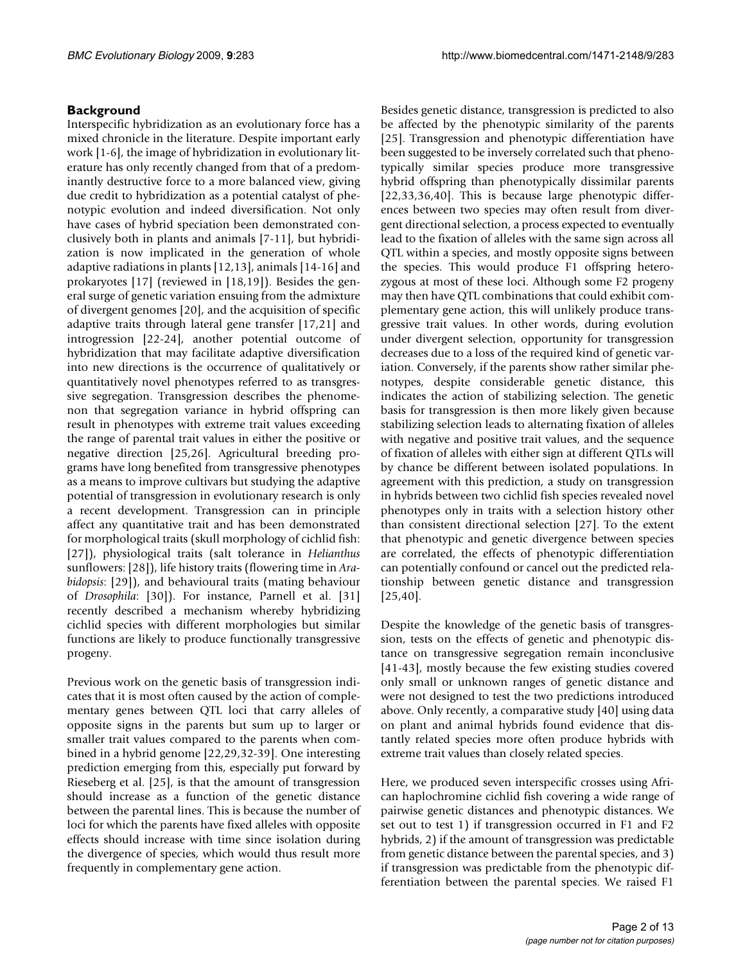### **Background**

Interspecific hybridization as an evolutionary force has a mixed chronicle in the literature. Despite important early work [\[1](#page-10-0)-[6\]](#page-10-1), the image of hybridization in evolutionary literature has only recently changed from that of a predominantly destructive force to a more balanced view, giving due credit to hybridization as a potential catalyst of phenotypic evolution and indeed diversification. Not only have cases of hybrid speciation been demonstrated conclusively both in plants and animals [[7](#page-10-2)[-11\]](#page-10-3), but hybridization is now implicated in the generation of whole adaptive radiations in plants [\[12](#page-10-4)[,13](#page-10-5)], animals [[14-](#page-10-6)[16\]](#page-11-1) and prokaryotes [\[17](#page-11-2)] (reviewed in [\[18](#page-11-3),[19\]](#page-11-4)). Besides the general surge of genetic variation ensuing from the admixture of divergent genomes [\[20](#page-11-5)], and the acquisition of specific adaptive traits through lateral gene transfer [[17,](#page-11-2)[21\]](#page-11-6) and introgression [[22-](#page-11-7)[24](#page-11-8)], another potential outcome of hybridization that may facilitate adaptive diversification into new directions is the occurrence of qualitatively or quantitatively novel phenotypes referred to as transgressive segregation. Transgression describes the phenomenon that segregation variance in hybrid offspring can result in phenotypes with extreme trait values exceeding the range of parental trait values in either the positive or negative direction [[25](#page-11-9),[26\]](#page-11-10). Agricultural breeding programs have long benefited from transgressive phenotypes as a means to improve cultivars but studying the adaptive potential of transgression in evolutionary research is only a recent development. Transgression can in principle affect any quantitative trait and has been demonstrated for morphological traits (skull morphology of cichlid fish: [[27](#page-11-11)]), physiological traits (salt tolerance in *Helianthus* sunflowers: [[28\]](#page-11-12)), life history traits (flowering time in *Arabidopsis*: [[29](#page-11-13)]), and behavioural traits (mating behaviour of *Drosophila*: [[30\]](#page-11-14)). For instance, Parnell et al. [[31\]](#page-11-15) recently described a mechanism whereby hybridizing cichlid species with different morphologies but similar functions are likely to produce functionally transgressive progeny.

Previous work on the genetic basis of transgression indicates that it is most often caused by the action of complementary genes between QTL loci that carry alleles of opposite signs in the parents but sum up to larger or smaller trait values compared to the parents when combined in a hybrid genome [[22,](#page-11-7)[29](#page-11-13),[32](#page-11-16)[-39](#page-11-17)]. One interesting prediction emerging from this, especially put forward by Rieseberg et al. [[25\]](#page-11-9), is that the amount of transgression should increase as a function of the genetic distance between the parental lines. This is because the number of loci for which the parents have fixed alleles with opposite effects should increase with time since isolation during the divergence of species, which would thus result more frequently in complementary gene action.

Besides genetic distance, transgression is predicted to also be affected by the phenotypic similarity of the parents [[25](#page-11-9)]. Transgression and phenotypic differentiation have been suggested to be inversely correlated such that phenotypically similar species produce more transgressive hybrid offspring than phenotypically dissimilar parents [[22](#page-11-7),[33,](#page-11-18)[36](#page-11-19),[40](#page-11-0)]. This is because large phenotypic differences between two species may often result from divergent directional selection, a process expected to eventually lead to the fixation of alleles with the same sign across all QTL within a species, and mostly opposite signs between the species. This would produce F1 offspring heterozygous at most of these loci. Although some F2 progeny may then have QTL combinations that could exhibit complementary gene action, this will unlikely produce transgressive trait values. In other words, during evolution under divergent selection, opportunity for transgression decreases due to a loss of the required kind of genetic variation. Conversely, if the parents show rather similar phenotypes, despite considerable genetic distance, this indicates the action of stabilizing selection. The genetic basis for transgression is then more likely given because stabilizing selection leads to alternating fixation of alleles with negative and positive trait values, and the sequence of fixation of alleles with either sign at different QTLs will by chance be different between isolated populations. In agreement with this prediction, a study on transgression in hybrids between two cichlid fish species revealed novel phenotypes only in traits with a selection history other than consistent directional selection [\[27\]](#page-11-11). To the extent that phenotypic and genetic divergence between species are correlated, the effects of phenotypic differentiation can potentially confound or cancel out the predicted relationship between genetic distance and transgression [[25](#page-11-9),[40\]](#page-11-0).

Despite the knowledge of the genetic basis of transgression, tests on the effects of genetic and phenotypic distance on transgressive segregation remain inconclusive [[41](#page-11-20)[-43](#page-11-21)], mostly because the few existing studies covered only small or unknown ranges of genetic distance and were not designed to test the two predictions introduced above. Only recently, a comparative study [\[40](#page-11-0)] using data on plant and animal hybrids found evidence that distantly related species more often produce hybrids with extreme trait values than closely related species.

Here, we produced seven interspecific crosses using African haplochromine cichlid fish covering a wide range of pairwise genetic distances and phenotypic distances. We set out to test 1) if transgression occurred in F1 and F2 hybrids, 2) if the amount of transgression was predictable from genetic distance between the parental species, and 3) if transgression was predictable from the phenotypic differentiation between the parental species. We raised F1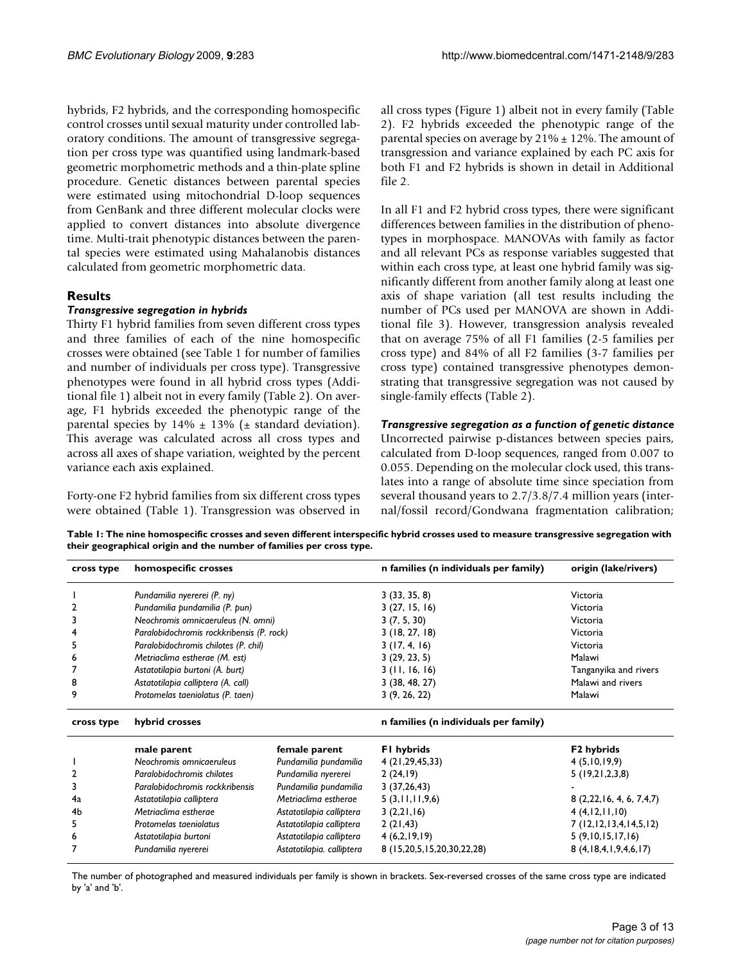hybrids, F2 hybrids, and the corresponding homospecific control crosses until sexual maturity under controlled laboratory conditions. The amount of transgressive segregation per cross type was quantified using landmark-based geometric morphometric methods and a thin-plate spline procedure. Genetic distances between parental species were estimated using mitochondrial D-loop sequences from GenBank and three different molecular clocks were applied to convert distances into absolute divergence time. Multi-trait phenotypic distances between the parental species were estimated using Mahalanobis distances calculated from geometric morphometric data.

#### **Results**

#### *Transgressive segregation in hybrids*

Thirty F1 hybrid families from seven different cross types and three families of each of the nine homospecific crosses were obtained (see Table [1](#page-2-0) for number of families and number of individuals per cross type). Transgressive phenotypes were found in all hybrid cross types (Additional file [1](#page-10-7)) albeit not in every family (Table [2\)](#page-3-0). On average, F1 hybrids exceeded the phenotypic range of the parental species by  $14\% \pm 13\%$  ( $\pm$  standard deviation). This average was calculated across all cross types and across all axes of shape variation, weighted by the percent variance each axis explained.

Forty-one F2 hybrid families from six different cross types were obtained (Table [1\)](#page-2-0). Transgression was observed in

all cross types (Figure [1\)](#page-4-0) albeit not in every family (Table [2](#page-3-0)). F2 hybrids exceeded the phenotypic range of the parental species on average by  $21\% \pm 12\%$ . The amount of transgression and variance explained by each PC axis for both F1 and F2 hybrids is shown in detail in Additional file [2](#page-10-8).

In all F1 and F2 hybrid cross types, there were significant differences between families in the distribution of phenotypes in morphospace. MANOVAs with family as factor and all relevant PCs as response variables suggested that within each cross type, at least one hybrid family was significantly different from another family along at least one axis of shape variation (all test results including the number of PCs used per MANOVA are shown in Additional file [3\)](#page-10-9). However, transgression analysis revealed that on average 75% of all F1 families (2-5 families per cross type) and 84% of all F2 families (3-7 families per cross type) contained transgressive phenotypes demonstrating that transgressive segregation was not caused by single-family effects (Table [2](#page-3-0)).

# *Transgressive segregation as a function of genetic distance* Uncorrected pairwise p-distances between species pairs, calculated from D-loop sequences, ranged from 0.007 to

0.055. Depending on the molecular clock used, this translates into a range of absolute time since speciation from several thousand years to 2.7/3.8/7.4 million years (internal/fossil record/Gondwana fragmentation calibration;

<span id="page-2-0"></span>**Table 1: The nine homospecific crosses and seven different interspecific hybrid crosses used to measure transgressive segregation with their geographical origin and the number of families per cross type.**

| cross type | homospecific crosses                      |                           | n families (n individuals per family) | origin (lake/rivers)        |  |  |  |
|------------|-------------------------------------------|---------------------------|---------------------------------------|-----------------------------|--|--|--|
|            | Pundamilia nyererei (P. ny)               |                           | 3(33, 35, 8)                          | Victoria                    |  |  |  |
| 2          | Pundamilia pundamilia (P. pun)            |                           | 3(27, 15, 16)                         | Victoria                    |  |  |  |
| 3          | Neochromis omnicaeruleus (N. omni)        |                           | 3(7, 5, 30)                           | Victoria                    |  |  |  |
| 4          | Paralobidochromis rockkribensis (P. rock) |                           | 3(18, 27, 18)                         | Victoria                    |  |  |  |
| 5          | Paralobidochromis chilotes (P. chil)      |                           | 3(17, 4, 16)                          | Victoria                    |  |  |  |
| 6          | Metriaclima estherae (M. est)             |                           | 3(29, 23, 5)                          | Malawi                      |  |  |  |
|            | Astatotilapia burtoni (A. burt)           |                           | $3$ (11, 16, 16)                      | Tanganyika and rivers       |  |  |  |
| 8          | Astatotilapia calliptera (A. call)        |                           | 3(38, 48, 27)                         | Malawi and rivers           |  |  |  |
| 9          | Protomelas taeniolatus (P. taen)          |                           | 3(9, 26, 22)                          | Malawi                      |  |  |  |
| cross type | hybrid crosses                            |                           | n families (n individuals per family) |                             |  |  |  |
|            | male parent                               | female parent             | F1 hybrids                            | F2 hybrids                  |  |  |  |
|            | Neochromis omnicaeruleus                  | Pundamilia pundamilia     | 4 (21, 29, 45, 33)                    | 4(5,10,19,9)                |  |  |  |
| 2          | Paralobidochromis chilotes                | Pundamilia nyererei       | 2(24,19)                              | 5(19,21,2,3,8)              |  |  |  |
| 3          | Paralobidochromis rockkribensis           | Pundamilia pundamilia     | 3(37,26,43)                           |                             |  |  |  |
| 4a         | Astatotilapia calliptera                  | Metriaclima estherae      | 5(3,11,11,9,6)                        | 8(2,22,16, 4, 6, 7,4,7)     |  |  |  |
| 4b         | Metriaclima estherae                      | Astatotilapia calliptera  | 3(2,21,16)                            | 4(4,12,11,10)               |  |  |  |
| 5          | Protomelas taeniolatus                    | Astatotilapia calliptera  | 2(21, 43)                             | 7(12,12,13,4,14,5,12)       |  |  |  |
| 6          | Astatotilapia burtoni                     | Astatotilapia calliptera  | 4(6,2,19,19)                          | 5(9,10,15,17,16)            |  |  |  |
|            | Pundamilia nyererei                       | Astatotilapia. calliptera | 8 (15,20,5,15,20,30,22,28)            | 8(4, 18, 4, 1, 9, 4, 6, 17) |  |  |  |

The number of photographed and measured individuals per family is shown in brackets. Sex-reversed crosses of the same cross type are indicated by 'a' and 'b'.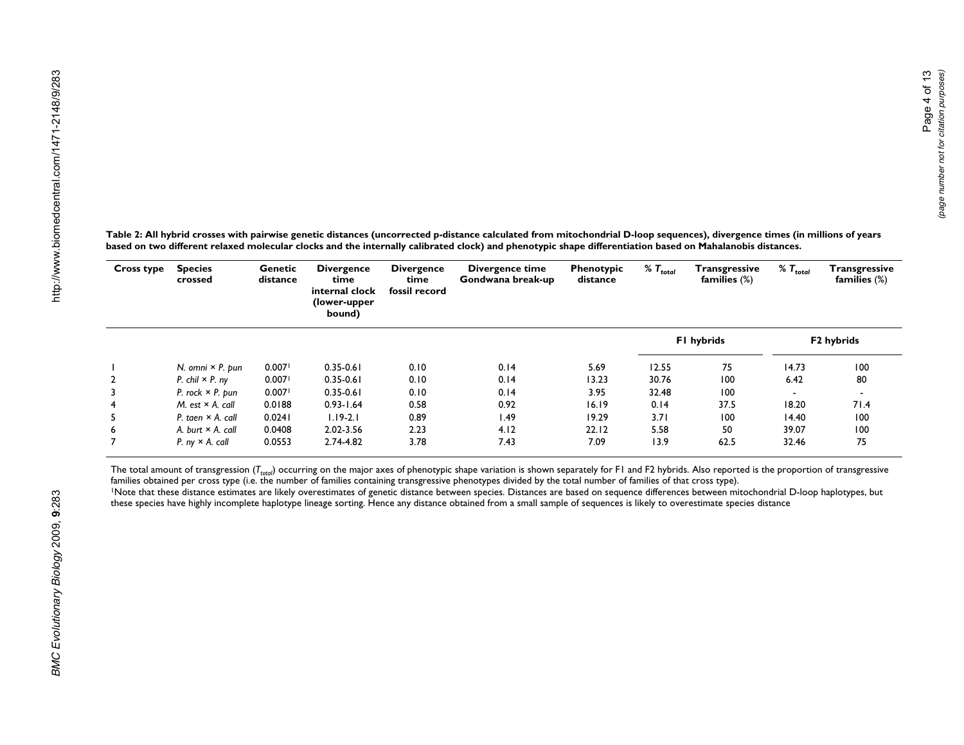**Table 2: All hybrid crosses with pairwise genetic distances (uncorrected p-distance calculated from mitochondrial D-loop sequences), divergence times (in millions of years based on two different relaxed molecular clocks and the internally calibrated clock) and phenotypic shape differentiation based on Mahalanobis distances.**

| <b>Cross type</b> | <b>Species</b><br>crossed | Genetic<br>distance | <b>Divergence</b><br>time<br>internal clock<br>(lower-upper<br>bound) | <b>Divergence</b><br>time<br>fossil record | Divergence time<br>Gondwana break-up | Phenotypic<br>distance | $% T_{total}$ | Transgressive<br>families $(\%)$ | $% T_{total}$          | <b>Transgressive</b><br>families (%) |
|-------------------|---------------------------|---------------------|-----------------------------------------------------------------------|--------------------------------------------|--------------------------------------|------------------------|---------------|----------------------------------|------------------------|--------------------------------------|
|                   |                           |                     |                                                                       |                                            |                                      |                        | F1 hybrids    |                                  | F <sub>2</sub> hybrids |                                      |
|                   | N. omni $\times$ P. pun   | 0.007               | $0.35 - 0.61$                                                         | 0.10                                       | 0.14                                 | 5.69                   | 12.55         | 75                               | 14.73                  | 100                                  |
|                   | P. chil $\times$ P. ny    | 0.007               | $0.35 - 0.61$                                                         | 0.10                                       | 0.14                                 | 13.23                  | 30.76         | 100                              | 6.42                   | 80                                   |
| 3                 | P. rock $\times$ P. bun   | 0.007               | $0.35 - 0.61$                                                         | 0.10                                       | 0.14                                 | 3.95                   | 32.48         | 100                              |                        | $\overline{\phantom{0}}$             |
| 4                 | M. est $\times$ A. call   | 0.0188              | $0.93 - 1.64$                                                         | 0.58                                       | 0.92                                 | 16.19                  | 0.14          | 37.5                             | 18.20                  | 71.4                                 |
| 5                 | P. taen $\times$ A. call  | 0.0241              | $1.19 - 2.1$                                                          | 0.89                                       | 1.49                                 | 19.29                  | 3.71          | 100                              | 14.40                  | 100                                  |
| 6                 | A. burt $\times$ A. call  | 0.0408              | 2.02-3.56                                                             | 2.23                                       | 4.12                                 | 22.12                  | 5.58          | 50                               | 39.07                  | 100                                  |
|                   | P. $ny \times A$ . call   | 0.0553              | 2.74-4.82                                                             | 3.78                                       | 7.43                                 | 7.09                   | 13.9          | 62.5                             | 32.46                  | 75                                   |

The total amount of transgression (*T<sub>total</sub>*) occurring on the major axes of phenotypic shape variation is shown separately for F1 and F2 hybrids. Also reported is the proportion of transgressive families obtained per cross type (i.e. the number of families containing transgressive phenotypes divided by the total number of families of that cross type).

<span id="page-3-0"></span><sup>1</sup>Note that these distance estimates are likely overestimates of genetic distance between species. Distances are based on sequence differences between mitochondrial D-loop haplotypes, but these species have highly incomplete haplotype lineage sorting. Hence any distance obtained from a small sample of sequences is likely to overestimate species distance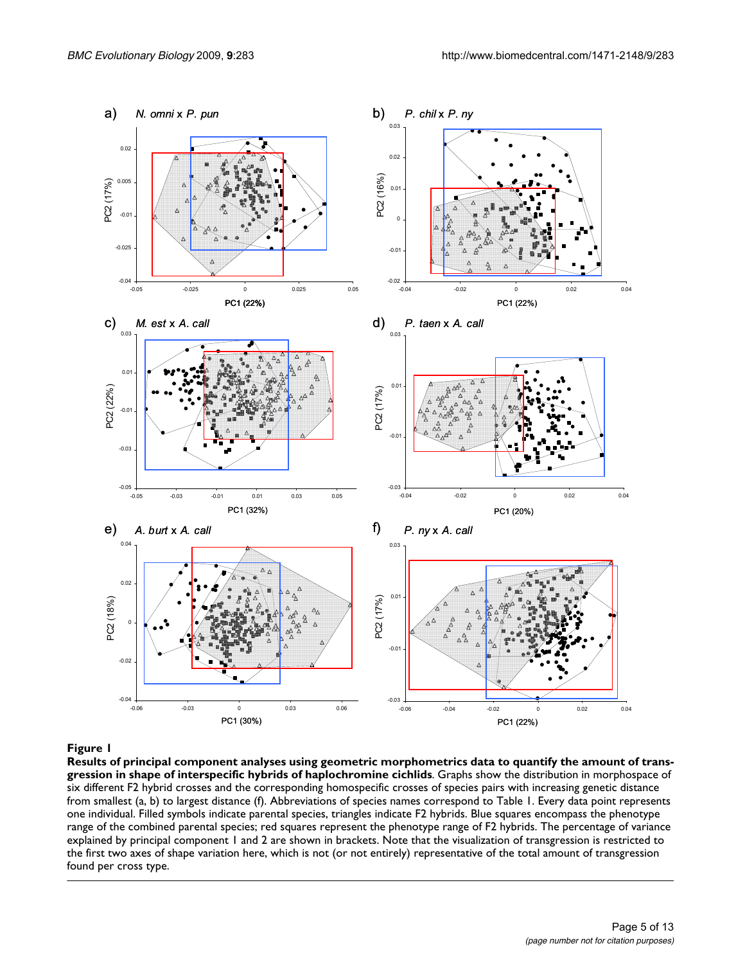<span id="page-4-0"></span>

#### of interspecific hybrids **Figure 1** Results of principal component analyses us of haplochromine cichlids ing geometric morphometrics data to quantify the amount of transgression in shape

**Results of principal component analyses using geometric morphometrics data to quantify the amount of transgression in shape of interspecific hybrids of haplochromine cichlids**. Graphs show the distribution in morphospace of six different F2 hybrid crosses and the corresponding homospecific crosses of species pairs with increasing genetic distance from smallest (a, b) to largest distance (f). Abbreviations of species names correspond to Table 1. Every data point represents one individual. Filled symbols indicate parental species, triangles indicate F2 hybrids. Blue squares encompass the phenotype range of the combined parental species; red squares represent the phenotype range of F2 hybrids. The percentage of variance explained by principal component 1 and 2 are shown in brackets. Note that the visualization of transgression is restricted to the first two axes of shape variation here, which is not (or not entirely) representative of the total amount of transgression found per cross type.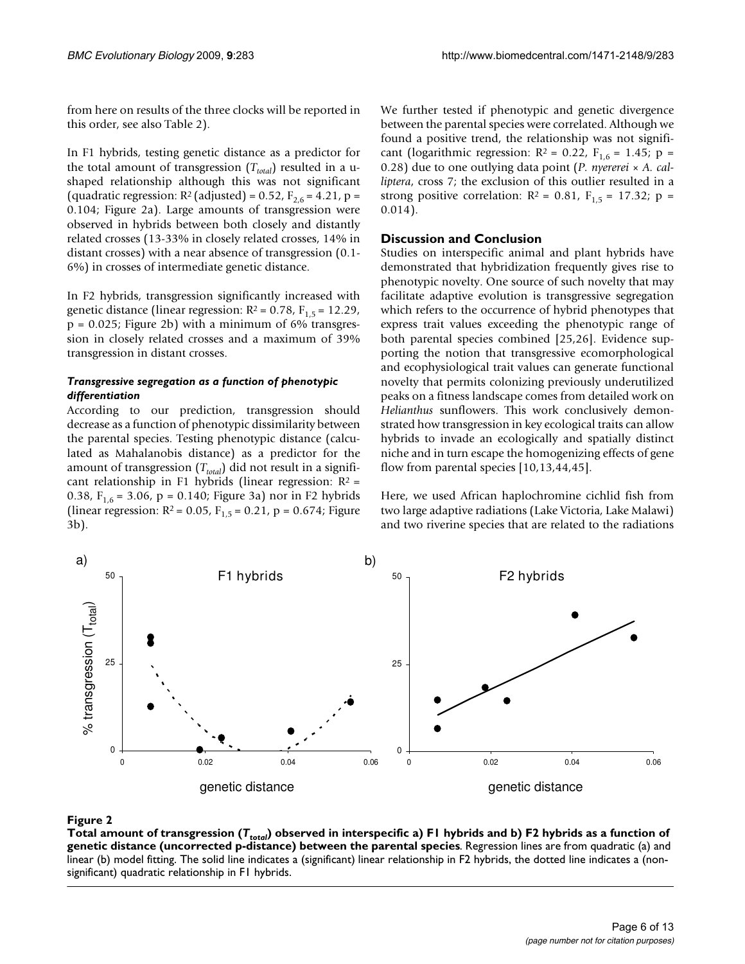from here on results of the three clocks will be reported in this order, see also Table [2](#page-3-0)).

In F1 hybrids, testing genetic distance as a predictor for the total amount of transgression  $(T_{total})$  resulted in a ushaped relationship although this was not significant (quadratic regression:  $R^2$  (adjusted) = 0.52,  $F_{2,6}$  = 4.21, p = 0.104; Figure [2](#page-5-0)a). Large amounts of transgression were observed in hybrids between both closely and distantly related crosses (13-33% in closely related crosses, 14% in distant crosses) with a near absence of transgression (0.1- 6%) in crosses of intermediate genetic distance.

In F2 hybrids, transgression significantly increased with genetic distance (linear regression:  $R^2 = 0.78$ ,  $F_{1.5} = 12.29$ ,  $p = 0.025$  $p = 0.025$  $p = 0.025$ ; Figure 2b) with a minimum of 6% transgression in closely related crosses and a maximum of 39% transgression in distant crosses.

#### *Transgressive segregation as a function of phenotypic differentiation*

According to our prediction, transgression should decrease as a function of phenotypic dissimilarity between the parental species. Testing phenotypic distance (calculated as Mahalanobis distance) as a predictor for the amount of transgression (*T<sub>total</sub>*) did not result in a significant relationship in F1 hybrids (linear regression:  $R^2$  = 0.38,  $F_{1,6}$  = 3.06, p = 0.140; Figure [3a](#page-6-0)) nor in F2 hybrids (linear regression:  $R^2 = 0.05$ ,  $F_{1,5} = 0.21$ ,  $p = 0.674$ ; Figure [3b](#page-6-0)).

We further tested if phenotypic and genetic divergence between the parental species were correlated. Although we found a positive trend, the relationship was not significant (logarithmic regression:  $R^2 = 0.22$ ,  $F_{1,6} = 1.45$ ;  $p =$ 0.28) due to one outlying data point (*P. nyererei × A. calliptera*, cross 7; the exclusion of this outlier resulted in a strong positive correlation:  $R^2 = 0.81$ ,  $F_{1.5} = 17.32$ ;  $p =$ 0.014).

#### **Discussion and Conclusion**

Studies on interspecific animal and plant hybrids have demonstrated that hybridization frequently gives rise to phenotypic novelty. One source of such novelty that may facilitate adaptive evolution is transgressive segregation which refers to the occurrence of hybrid phenotypes that express trait values exceeding the phenotypic range of both parental species combined [[25](#page-11-9)[,26](#page-11-10)]. Evidence supporting the notion that transgressive ecomorphological and ecophysiological trait values can generate functional novelty that permits colonizing previously underutilized peaks on a fitness landscape comes from detailed work on *Helianthus* sunflowers. This work conclusively demonstrated how transgression in key ecological traits can allow hybrids to invade an ecologically and spatially distinct niche and in turn escape the homogenizing effects of gene flow from parental species [[10,](#page-10-10)[13](#page-10-5),[44](#page-11-23),[45\]](#page-11-22).

Here, we used African haplochromine cichlid fish from two large adaptive radiations (Lake Victoria, Lake Malawi) and two riverine species that are related to the radiations

<span id="page-5-0"></span>

Total amount of transgression (*Ttotal* (uncorrected p-distance) between the parental species **Figure 2** ) observed in interspecific a) F1 hybrids and b) F2 hybrids as a function of genetic distance Total amount of transgression (T<sub>total</sub>) observed in interspecific a) F1 hybrids and b) F2 hybrids as a function of **genetic distance (uncorrected p-distance) between the parental species**. Regression lines are from quadratic (a) and linear (b) model fitting. The solid line indicates a (significant) linear relationship in F2 hybrids, the dotted line indicates a (nonsignificant) quadratic relationship in F1 hybrids.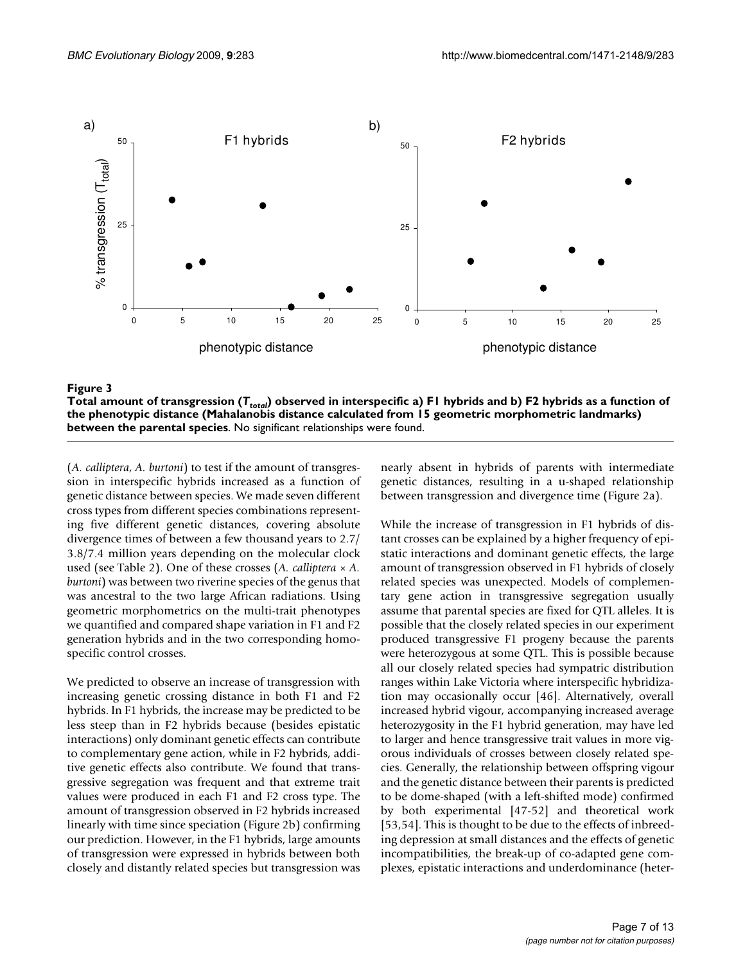<span id="page-6-0"></span>

**Example 3** and the contract of the contract of the contract of the contract of the contract of the contract of the contract of the contract of the contract of the contract of the contract of the contract of the contract o **Total amount of transgression (***Ttotal***) observed in interspecific a) F1 hybrids and b) F2 hybrids as a function of the phenotypic distance (Mahalanobis distance calculated from 15 geometric morphometric landmarks) between the parental species**. No significant relationships were found.

(*A. calliptera*, *A. burtoni*) to test if the amount of transgression in interspecific hybrids increased as a function of genetic distance between species. We made seven different cross types from different species combinations representing five different genetic distances, covering absolute divergence times of between a few thousand years to 2.7/ 3.8/7.4 million years depending on the molecular clock used (see Table [2\)](#page-3-0). One of these crosses (*A. calliptera* × *A. burtoni*) was between two riverine species of the genus that was ancestral to the two large African radiations. Using geometric morphometrics on the multi-trait phenotypes we quantified and compared shape variation in F1 and F2 generation hybrids and in the two corresponding homospecific control crosses.

We predicted to observe an increase of transgression with increasing genetic crossing distance in both F1 and F2 hybrids. In F1 hybrids, the increase may be predicted to be less steep than in F2 hybrids because (besides epistatic interactions) only dominant genetic effects can contribute to complementary gene action, while in F2 hybrids, additive genetic effects also contribute. We found that transgressive segregation was frequent and that extreme trait values were produced in each F1 and F2 cross type. The amount of transgression observed in F2 hybrids increased linearly with time since speciation (Figure [2](#page-5-0)b) confirming our prediction. However, in the F1 hybrids, large amounts of transgression were expressed in hybrids between both closely and distantly related species but transgression was

nearly absent in hybrids of parents with intermediate genetic distances, resulting in a u-shaped relationship between transgression and divergence time (Figure [2a](#page-5-0)).

While the increase of transgression in F1 hybrids of distant crosses can be explained by a higher frequency of epistatic interactions and dominant genetic effects, the large amount of transgression observed in F1 hybrids of closely related species was unexpected. Models of complementary gene action in transgressive segregation usually assume that parental species are fixed for QTL alleles. It is possible that the closely related species in our experiment produced transgressive F1 progeny because the parents were heterozygous at some QTL. This is possible because all our closely related species had sympatric distribution ranges within Lake Victoria where interspecific hybridization may occasionally occur [\[46\]](#page-11-25). Alternatively, overall increased hybrid vigour, accompanying increased average heterozygosity in the F1 hybrid generation, may have led to larger and hence transgressive trait values in more vigorous individuals of crosses between closely related species. Generally, the relationship between offspring vigour and the genetic distance between their parents is predicted to be dome-shaped (with a left-shifted mode) confirmed by both experimental [[47-](#page-11-26)[52\]](#page-11-27) and theoretical work [[53](#page-11-28),[54\]](#page-11-24). This is thought to be due to the effects of inbreeding depression at small distances and the effects of genetic incompatibilities, the break-up of co-adapted gene complexes, epistatic interactions and underdominance (heter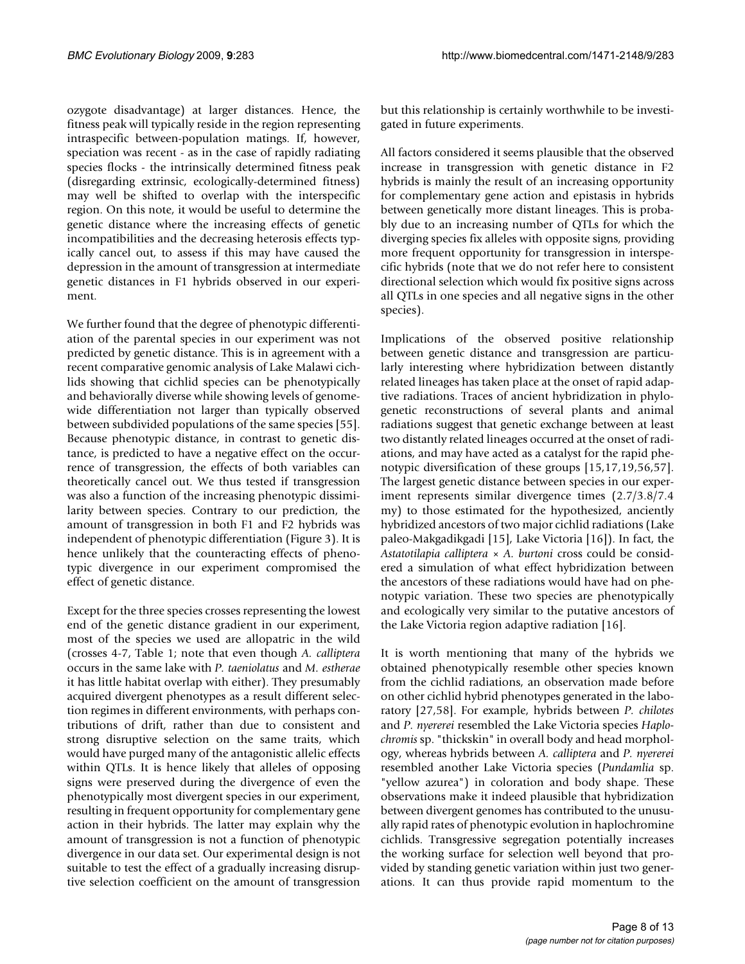ozygote disadvantage) at larger distances. Hence, the fitness peak will typically reside in the region representing intraspecific between-population matings. If, however, speciation was recent - as in the case of rapidly radiating species flocks - the intrinsically determined fitness peak (disregarding extrinsic, ecologically-determined fitness) may well be shifted to overlap with the interspecific region. On this note, it would be useful to determine the genetic distance where the increasing effects of genetic incompatibilities and the decreasing heterosis effects typically cancel out, to assess if this may have caused the depression in the amount of transgression at intermediate genetic distances in F1 hybrids observed in our experiment.

We further found that the degree of phenotypic differentiation of the parental species in our experiment was not predicted by genetic distance. This is in agreement with a recent comparative genomic analysis of Lake Malawi cichlids showing that cichlid species can be phenotypically and behaviorally diverse while showing levels of genomewide differentiation not larger than typically observed between subdivided populations of the same species [\[55](#page-11-30)]. Because phenotypic distance, in contrast to genetic distance, is predicted to have a negative effect on the occurrence of transgression, the effects of both variables can theoretically cancel out. We thus tested if transgression was also a function of the increasing phenotypic dissimilarity between species. Contrary to our prediction, the amount of transgression in both F1 and F2 hybrids was independent of phenotypic differentiation (Figure [3](#page-6-0)). It is hence unlikely that the counteracting effects of phenotypic divergence in our experiment compromised the effect of genetic distance.

Except for the three species crosses representing the lowest end of the genetic distance gradient in our experiment, most of the species we used are allopatric in the wild (crosses 4-7, Table [1;](#page-2-0) note that even though *A. calliptera* occurs in the same lake with *P. taeniolatus* and *M. estherae* it has little habitat overlap with either). They presumably acquired divergent phenotypes as a result different selection regimes in different environments, with perhaps contributions of drift, rather than due to consistent and strong disruptive selection on the same traits, which would have purged many of the antagonistic allelic effects within QTLs. It is hence likely that alleles of opposing signs were preserved during the divergence of even the phenotypically most divergent species in our experiment, resulting in frequent opportunity for complementary gene action in their hybrids. The latter may explain why the amount of transgression is not a function of phenotypic divergence in our data set. Our experimental design is not suitable to test the effect of a gradually increasing disruptive selection coefficient on the amount of transgression but this relationship is certainly worthwhile to be investigated in future experiments.

All factors considered it seems plausible that the observed increase in transgression with genetic distance in F2 hybrids is mainly the result of an increasing opportunity for complementary gene action and epistasis in hybrids between genetically more distant lineages. This is probably due to an increasing number of QTLs for which the diverging species fix alleles with opposite signs, providing more frequent opportunity for transgression in interspecific hybrids (note that we do not refer here to consistent directional selection which would fix positive signs across all QTLs in one species and all negative signs in the other species).

Implications of the observed positive relationship between genetic distance and transgression are particularly interesting where hybridization between distantly related lineages has taken place at the onset of rapid adaptive radiations. Traces of ancient hybridization in phylogenetic reconstructions of several plants and animal radiations suggest that genetic exchange between at least two distantly related lineages occurred at the onset of radiations, and may have acted as a catalyst for the rapid phenotypic diversification of these groups [[15,](#page-10-11)[17](#page-11-2),[19](#page-11-4),[56](#page-11-31)[,57](#page-11-32)]. The largest genetic distance between species in our experiment represents similar divergence times (2.7/3.8/7.4 my) to those estimated for the hypothesized, anciently hybridized ancestors of two major cichlid radiations (Lake paleo-Makgadikgadi [[15\]](#page-10-11), Lake Victoria [\[16\]](#page-11-1)). In fact, the *Astatotilapia calliptera* × *A. burtoni* cross could be considered a simulation of what effect hybridization between the ancestors of these radiations would have had on phenotypic variation. These two species are phenotypically and ecologically very similar to the putative ancestors of the Lake Victoria region adaptive radiation [[16\]](#page-11-1).

It is worth mentioning that many of the hybrids we obtained phenotypically resemble other species known from the cichlid radiations, an observation made before on other cichlid hybrid phenotypes generated in the laboratory [\[27](#page-11-11),[58](#page-11-29)]. For example, hybrids between *P. chilotes* and *P. nyererei* resembled the Lake Victoria species *Haplochromis* sp. "thickskin" in overall body and head morphology, whereas hybrids between *A. calliptera* and *P. nyererei* resembled another Lake Victoria species (*Pundamlia* sp. "yellow azurea") in coloration and body shape. These observations make it indeed plausible that hybridization between divergent genomes has contributed to the unusually rapid rates of phenotypic evolution in haplochromine cichlids. Transgressive segregation potentially increases the working surface for selection well beyond that provided by standing genetic variation within just two generations. It can thus provide rapid momentum to the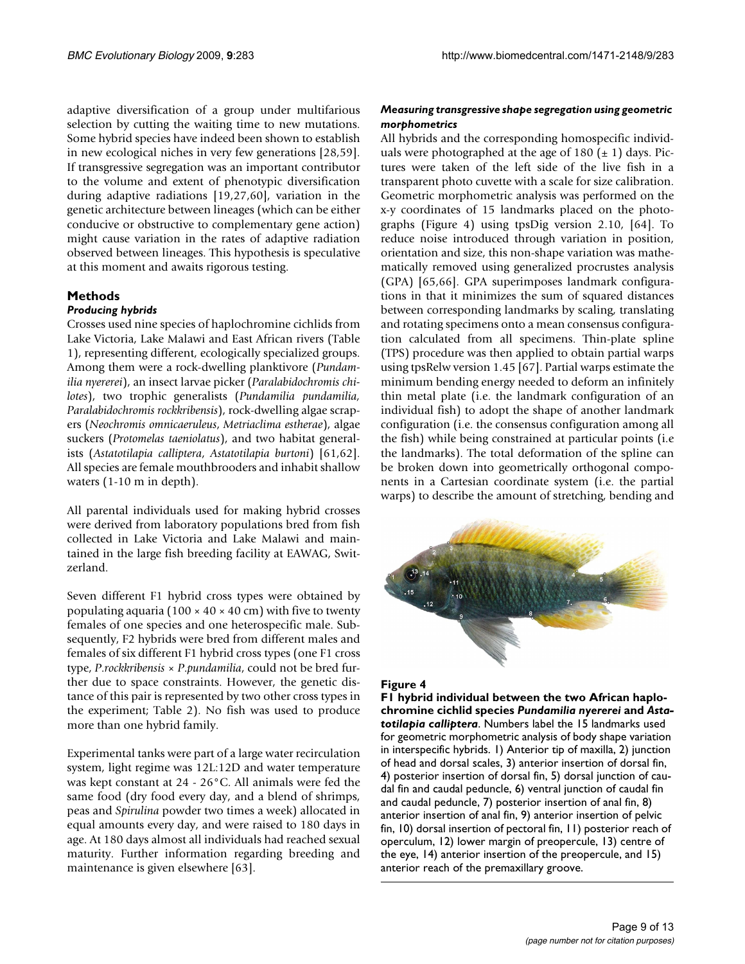adaptive diversification of a group under multifarious selection by cutting the waiting time to new mutations. Some hybrid species have indeed been shown to establish in new ecological niches in very few generations [[28](#page-11-12)[,59](#page-11-33)]. If transgressive segregation was an important contributor to the volume and extent of phenotypic diversification during adaptive radiations [[19,](#page-11-4)[27](#page-11-11)[,60](#page-11-34)], variation in the genetic architecture between lineages (which can be either conducive or obstructive to complementary gene action) might cause variation in the rates of adaptive radiation observed between lineages. This hypothesis is speculative at this moment and awaits rigorous testing.

#### **Methods**

#### *Producing hybrids*

Crosses used nine species of haplochromine cichlids from Lake Victoria, Lake Malawi and East African rivers (Table [1\)](#page-2-0), representing different, ecologically specialized groups. Among them were a rock-dwelling planktivore (*Pundamilia nyererei*), an insect larvae picker (*Paralabidochromis chilotes*), two trophic generalists (*Pundamilia pundamilia, Paralabidochromis rockkribensis*), rock-dwelling algae scrapers (*Neochromis omnicaeruleus*, *Metriaclima estherae*), algae suckers (*Protomelas taeniolatus*), and two habitat generalists (*Astatotilapia calliptera*, *Astatotilapia burtoni*) [[61](#page-11-35)[,62](#page-11-36)]. All species are female mouthbrooders and inhabit shallow waters (1-10 m in depth).

All parental individuals used for making hybrid crosses were derived from laboratory populations bred from fish collected in Lake Victoria and Lake Malawi and maintained in the large fish breeding facility at EAWAG, Switzerland.

Seven different F1 hybrid cross types were obtained by populating aquaria ( $100 \times 40 \times 40$  cm) with five to twenty females of one species and one heterospecific male. Subsequently, F2 hybrids were bred from different males and females of six different F1 hybrid cross types (one F1 cross type, *P*.*rockkribensis* × *P*.*pundamilia*, could not be bred further due to space constraints. However, the genetic distance of this pair is represented by two other cross types in the experiment; Table [2\)](#page-3-0). No fish was used to produce more than one hybrid family.

Experimental tanks were part of a large water recirculation system, light regime was 12L:12D and water temperature was kept constant at 24 - 26°C. All animals were fed the same food (dry food every day, and a blend of shrimps, peas and *Spirulina* powder two times a week) allocated in equal amounts every day, and were raised to 180 days in age. At 180 days almost all individuals had reached sexual maturity. Further information regarding breeding and maintenance is given elsewhere [\[63](#page-11-37)].

### *Measuring transgressive shape segregation using geometric morphometrics*

All hybrids and the corresponding homospecific individuals were photographed at the age of 180 ( $\pm$  1) days. Pictures were taken of the left side of the live fish in a transparent photo cuvette with a scale for size calibration. Geometric morphometric analysis was performed on the x-y coordinates of 15 landmarks placed on the photographs (Figure [4](#page-8-0)) using tpsDig version 2.10, [\[64](#page-11-38)]. To reduce noise introduced through variation in position, orientation and size, this non-shape variation was mathematically removed using generalized procrustes analysis (GPA) [\[65](#page-12-1),[66\]](#page-12-2). GPA superimposes landmark configurations in that it minimizes the sum of squared distances between corresponding landmarks by scaling, translating and rotating specimens onto a mean consensus configuration calculated from all specimens. Thin-plate spline (TPS) procedure was then applied to obtain partial warps using tpsRelw version 1.45 [\[67](#page-12-0)]. Partial warps estimate the minimum bending energy needed to deform an infinitely thin metal plate (i.e. the landmark configuration of an individual fish) to adopt the shape of another landmark configuration (i.e. the consensus configuration among all the fish) while being constrained at particular points (i.e the landmarks). The total deformation of the spline can be broken down into geometrically orthogonal components in a Cartesian coordinate system (i.e. the partial warps) to describe the amount of stretching, bending and

<span id="page-8-0"></span>

### Figure 4

**F1 hybrid individual between the two African haplochromine cichlid species** *Pundamilia nyererei* **and** *Astatotilapia calliptera*. Numbers label the 15 landmarks used for geometric morphometric analysis of body shape variation in interspecific hybrids. 1) Anterior tip of maxilla, 2) junction of head and dorsal scales, 3) anterior insertion of dorsal fin, 4) posterior insertion of dorsal fin, 5) dorsal junction of caudal fin and caudal peduncle, 6) ventral junction of caudal fin and caudal peduncle, 7) posterior insertion of anal fin, 8) anterior insertion of anal fin, 9) anterior insertion of pelvic fin, 10) dorsal insertion of pectoral fin, 11) posterior reach of operculum, 12) lower margin of preopercule, 13) centre of the eye, 14) anterior insertion of the preopercule, and 15) anterior reach of the premaxillary groove.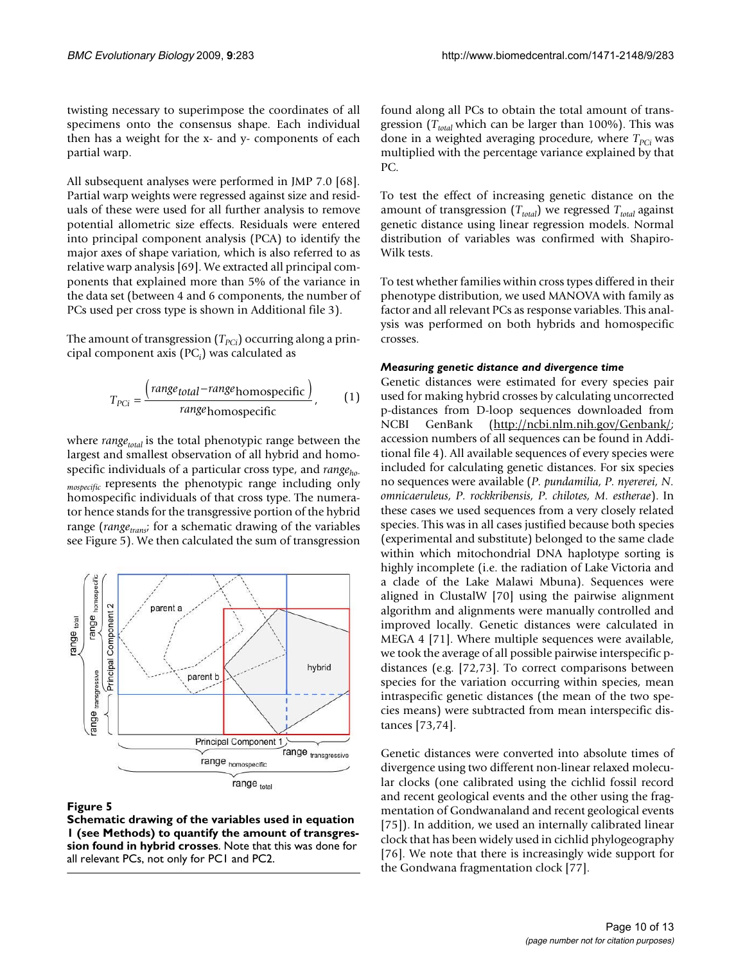twisting necessary to superimpose the coordinates of all specimens onto the consensus shape. Each individual then has a weight for the x- and y- components of each partial warp.

All subsequent analyses were performed in JMP 7.0 [\[68](#page-12-4)]. Partial warp weights were regressed against size and residuals of these were used for all further analysis to remove potential allometric size effects. Residuals were entered into principal component analysis (PCA) to identify the major axes of shape variation, which is also referred to as relative warp analysis [\[69\]](#page-12-5). We extracted all principal components that explained more than 5% of the variance in the data set (between 4 and 6 components, the number of PCs used per cross type is shown in Additional file [3](#page-10-9)).

The amount of transgression  $(T_{PCi})$  occurring along a principal component axis (PC*<sup>i</sup>* ) was calculated as

$$
T_{PCi} = \frac{\left(range_{total} - range_{homospecific}\right)}{range_{homospecific}},\tag{1}
$$

where *range<sub>total</sub>* is the total phenotypic range between the largest and smallest observation of all hybrid and homospecific individuals of a particular cross type, and *rangehomospecific* represents the phenotypic range including only homospecific individuals of that cross type. The numerator hence stands for the transgressive portion of the hybrid range (*range<sub>trans</sub>*; for a schematic drawing of the variables see Figure [5\)](#page-9-0). We then calculated the sum of transgression

<span id="page-9-0"></span>

### **Figure 5**

**Schematic drawing of the variables used in equation 1 (see Methods) to quantify the amount of transgression found in hybrid crosses**. Note that this was done for all relevant PCs, not only for PC1 and PC2.

found along all PCs to obtain the total amount of transgression (*T<sub>total</sub>* which can be larger than 100%). This was done in a weighted averaging procedure, where  $T_{PCi}$  was multiplied with the percentage variance explained by that PC.

To test the effect of increasing genetic distance on the amount of transgression  $(T_{total})$  we regressed  $T_{total}$  against genetic distance using linear regression models. Normal distribution of variables was confirmed with Shapiro-Wilk tests.

To test whether families within cross types differed in their phenotype distribution, we used MANOVA with family as factor and all relevant PCs as response variables. This analysis was performed on both hybrids and homospecific crosses.

#### *Measuring genetic distance and divergence time*

Genetic distances were estimated for every species pair used for making hybrid crosses by calculating uncorrected p-distances from D-loop sequences downloaded from NCBI GenBank ([http://ncbi.nlm.nih.gov/Genbank/;](http://ncbi.nlm.nih.gov/Genbank/) accession numbers of all sequences can be found in Additional file [4](#page-10-12)). All available sequences of every species were included for calculating genetic distances. For six species no sequences were available (*P. pundamilia, P. nyererei, N. omnicaeruleus, P. rockkribensis, P. chilotes, M. estherae*). In these cases we used sequences from a very closely related species. This was in all cases justified because both species (experimental and substitute) belonged to the same clade within which mitochondrial DNA haplotype sorting is highly incomplete (i.e. the radiation of Lake Victoria and a clade of the Lake Malawi Mbuna). Sequences were aligned in ClustalW [\[70\]](#page-12-6) using the pairwise alignment algorithm and alignments were manually controlled and improved locally. Genetic distances were calculated in MEGA 4 [[71\]](#page-12-7). Where multiple sequences were available, we took the average of all possible pairwise interspecific pdistances (e.g. [[72](#page-12-8),[73\]](#page-12-9). To correct comparisons between species for the variation occurring within species, mean intraspecific genetic distances (the mean of the two species means) were subtracted from mean interspecific distances [\[73](#page-12-9)[,74](#page-12-10)].

Genetic distances were converted into absolute times of divergence using two different non-linear relaxed molecular clocks (one calibrated using the cichlid fossil record and recent geological events and the other using the fragmentation of Gondwanaland and recent geological events [[75](#page-12-11)]). In addition, we used an internally calibrated linear clock that has been widely used in cichlid phylogeography [[76](#page-12-12)]. We note that there is increasingly wide support for the Gondwana fragmentation clock [\[77\]](#page-12-3).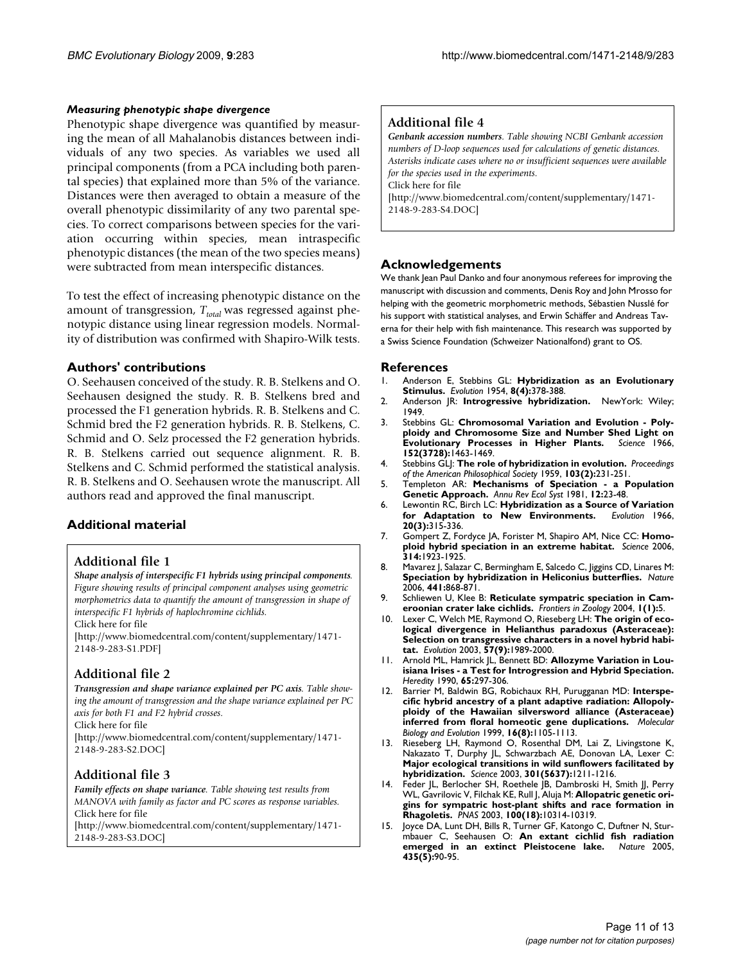#### *Measuring phenotypic shape divergence*

Phenotypic shape divergence was quantified by measuring the mean of all Mahalanobis distances between individuals of any two species. As variables we used all principal components (from a PCA including both parental species) that explained more than 5% of the variance. Distances were then averaged to obtain a measure of the overall phenotypic dissimilarity of any two parental species. To correct comparisons between species for the variation occurring within species, mean intraspecific phenotypic distances (the mean of the two species means) were subtracted from mean interspecific distances.

To test the effect of increasing phenotypic distance on the amount of transgression,  $T_{total}$  was regressed against phenotypic distance using linear regression models. Normality of distribution was confirmed with Shapiro-Wilk tests.

#### **Authors' contributions**

O. Seehausen conceived of the study. R. B. Stelkens and O. Seehausen designed the study. R. B. Stelkens bred and processed the F1 generation hybrids. R. B. Stelkens and C. Schmid bred the F2 generation hybrids. R. B. Stelkens, C. Schmid and O. Selz processed the F2 generation hybrids. R. B. Stelkens carried out sequence alignment. R. B. Stelkens and C. Schmid performed the statistical analysis. R. B. Stelkens and O. Seehausen wrote the manuscript. All authors read and approved the final manuscript.

### **Additional material**

#### <span id="page-10-7"></span>**Additional file 1**

*Shape analysis of interspecific F1 hybrids using principal components. Figure showing results of principal component analyses using geometric morphometrics data to quantify the amount of transgression in shape of interspecific F1 hybrids of haplochromine cichlids.*

Click here for file

[\[http://www.biomedcentral.com/content/supplementary/1471-](http://www.biomedcentral.com/content/supplementary/1471-2148-9-283-S1.PDF) 2148-9-283-S1.PDF]

# <span id="page-10-8"></span>**Additional file 2**

*Transgression and shape variance explained per PC axis. Table showing the amount of transgression and the shape variance explained per PC axis for both F1 and F2 hybrid crosses.*

Click here for file

[\[http://www.biomedcentral.com/content/supplementary/1471-](http://www.biomedcentral.com/content/supplementary/1471-2148-9-283-S2.DOC) 2148-9-283-S2.DOC]

## <span id="page-10-9"></span>**Additional file 3**

*Family effects on shape variance. Table showing test results from MANOVA with family as factor and PC scores as response variables.* Click here for file

[\[http://www.biomedcentral.com/content/supplementary/1471-](http://www.biomedcentral.com/content/supplementary/1471-2148-9-283-S3.DOC) 2148-9-283-S3.DOC]

### <span id="page-10-12"></span>**Additional file 4**

*Genbank accession numbers. Table showing NCBI Genbank accession numbers of D-loop sequences used for calculations of genetic distances. Asterisks indicate cases where no or insufficient sequences were available for the species used in the experiments.* Click here for file [\[http://www.biomedcentral.com/content/supplementary/1471-](http://www.biomedcentral.com/content/supplementary/1471-2148-9-283-S4.DOC) 2148-9-283-S4.DOC]

#### **Acknowledgements**

We thank Jean Paul Danko and four anonymous referees for improving the manuscript with discussion and comments, Denis Roy and John Mrosso for helping with the geometric morphometric methods, Sébastien Nusslé for his support with statistical analyses, and Erwin Schäffer and Andreas Taverna for their help with fish maintenance. This research was supported by a Swiss Science Foundation (Schweizer Nationalfond) grant to OS.

#### **References**

- <span id="page-10-0"></span>1. Anderson E, Stebbins GL: **Hybridization as an Evolutionary Stimulus.** *Evolution* 1954, **8(4):**378-388.
- 2. Anderson JR: **Introgressive hybridization.** NewYork: Wiley; 1949.
- 3. Stebbins GL: **[Chromosomal Variation and Evolution Poly](http://www.ncbi.nlm.nih.gov/entrez/query.fcgi?cmd=Retrieve&db=PubMed&dopt=Abstract&list_uids=17788022)[ploidy and Chromosome Size and Number Shed Light on](http://www.ncbi.nlm.nih.gov/entrez/query.fcgi?cmd=Retrieve&db=PubMed&dopt=Abstract&list_uids=17788022) [Evolutionary Processes in Higher Plants.](http://www.ncbi.nlm.nih.gov/entrez/query.fcgi?cmd=Retrieve&db=PubMed&dopt=Abstract&list_uids=17788022)** *Science* 1966, **152(3728):**1463-1469.
- 4. Stebbins GLJ: **The role of hybridization in evolution.** *Proceedings of the American Philosophical Society* 1959, **103(2):**231-251.
- 5. Templeton AR: **Mechanisms of Speciation a Population Genetic Approach.** *Annu Rev Ecol Syst* 1981, **12:**23-48.
- <span id="page-10-1"></span>6. Lewontin RC, Birch LC: **Hybridization as a Source of Variation for Adaptation to New Environments.** *Evolution* 1966, **20(3):**315-336.
- <span id="page-10-2"></span>7. Gompert Z, Fordyce JA, Forister M, Shapiro AM, Nice CC: **[Homo](http://www.ncbi.nlm.nih.gov/entrez/query.fcgi?cmd=Retrieve&db=PubMed&dopt=Abstract&list_uids=17138866)[ploid hybrid speciation in an extreme habitat.](http://www.ncbi.nlm.nih.gov/entrez/query.fcgi?cmd=Retrieve&db=PubMed&dopt=Abstract&list_uids=17138866)** *Science* 2006, **314:**1923-1925.
- 8. Mavarez J, Salazar C, Bermingham E, Salcedo C, Jiggins CD, Linares M: **[Speciation by hybridization in Heliconius butterflies.](http://www.ncbi.nlm.nih.gov/entrez/query.fcgi?cmd=Retrieve&db=PubMed&dopt=Abstract&list_uids=16778888)** *Nature* 2006, **441:**868-871.
- 9. Schliewen U, Klee B: **[Reticulate sympatric speciation in Cam](http://www.ncbi.nlm.nih.gov/entrez/query.fcgi?cmd=Retrieve&db=PubMed&dopt=Abstract&list_uids=15679917)[eroonian crater lake cichlids.](http://www.ncbi.nlm.nih.gov/entrez/query.fcgi?cmd=Retrieve&db=PubMed&dopt=Abstract&list_uids=15679917)** *Frontiers in Zoology* 2004, **1(1):**5.
- <span id="page-10-10"></span>10. Lexer C, Welch ME, Raymond O, Rieseberg LH: **[The origin of eco](http://www.ncbi.nlm.nih.gov/entrez/query.fcgi?cmd=Retrieve&db=PubMed&dopt=Abstract&list_uids=14575321)logical divergence in Helianthus paradoxus (Asteraceae): [Selection on transgressive characters in a novel hybrid habi](http://www.ncbi.nlm.nih.gov/entrez/query.fcgi?cmd=Retrieve&db=PubMed&dopt=Abstract&list_uids=14575321)[tat.](http://www.ncbi.nlm.nih.gov/entrez/query.fcgi?cmd=Retrieve&db=PubMed&dopt=Abstract&list_uids=14575321)** *Evolution* 2003, **57(9):**1989-2000.
- <span id="page-10-3"></span>11. Arnold ML, Hamrick JL, Bennett BD: **Allozyme Variation in Louisiana Irises - a Test for Introgression and Hybrid Speciation.** *Heredity* 1990, **65:**297-306.
- <span id="page-10-4"></span>12. Barrier M, Baldwin BG, Robichaux RH, Purugganan MD: **[Interspe](http://www.ncbi.nlm.nih.gov/entrez/query.fcgi?cmd=Retrieve&db=PubMed&dopt=Abstract&list_uids=10474905)cific hybrid ancestry of a plant adaptive radiation: Allopoly[ploidy of the Hawaiian silversword alliance \(Asteraceae\)](http://www.ncbi.nlm.nih.gov/entrez/query.fcgi?cmd=Retrieve&db=PubMed&dopt=Abstract&list_uids=10474905) [inferred from floral homeotic gene duplications.](http://www.ncbi.nlm.nih.gov/entrez/query.fcgi?cmd=Retrieve&db=PubMed&dopt=Abstract&list_uids=10474905)** *Molecular Biology and Evolution* 1999, **16(8):**1105-1113.
- <span id="page-10-5"></span>13. Rieseberg LH, Raymond O, Rosenthal DM, Lai Z, Livingstone K, Nakazato T, Durphy JL, Schwarzbach AE, Donovan LA, Lexer C: **[Major ecological transitions in wild sunflowers facilitated by](http://www.ncbi.nlm.nih.gov/entrez/query.fcgi?cmd=Retrieve&db=PubMed&dopt=Abstract&list_uids=12907807) [hybridization.](http://www.ncbi.nlm.nih.gov/entrez/query.fcgi?cmd=Retrieve&db=PubMed&dopt=Abstract&list_uids=12907807)** *Science* 2003, **301(5637):**1211-1216.
- <span id="page-10-6"></span>14. Feder JL, Berlocher SH, Roethele JB, Dambroski H, Smith JJ, Perry WL, Gavrilovic V, Filchak KE, Rull J, Aluja M: **[Allopatric genetic ori](http://www.ncbi.nlm.nih.gov/entrez/query.fcgi?cmd=Retrieve&db=PubMed&dopt=Abstract&list_uids=12928500)[gins for sympatric host-plant shifts and race formation in](http://www.ncbi.nlm.nih.gov/entrez/query.fcgi?cmd=Retrieve&db=PubMed&dopt=Abstract&list_uids=12928500) [Rhagoletis.](http://www.ncbi.nlm.nih.gov/entrez/query.fcgi?cmd=Retrieve&db=PubMed&dopt=Abstract&list_uids=12928500)** *PNAS* 2003, **100(18):**10314-10319.
- <span id="page-10-11"></span>15. Joyce DA, Lunt DH, Bills R, Turner GF, Katongo C, Duftner N, Sturmbauer C, Seehausen O: **[An extant cichlid fish radiation](http://www.ncbi.nlm.nih.gov/entrez/query.fcgi?cmd=Retrieve&db=PubMed&dopt=Abstract&list_uids=15875022) [emerged in an extinct Pleistocene lake.](http://www.ncbi.nlm.nih.gov/entrez/query.fcgi?cmd=Retrieve&db=PubMed&dopt=Abstract&list_uids=15875022)** *Nature* 2005, **435(5):**90-95.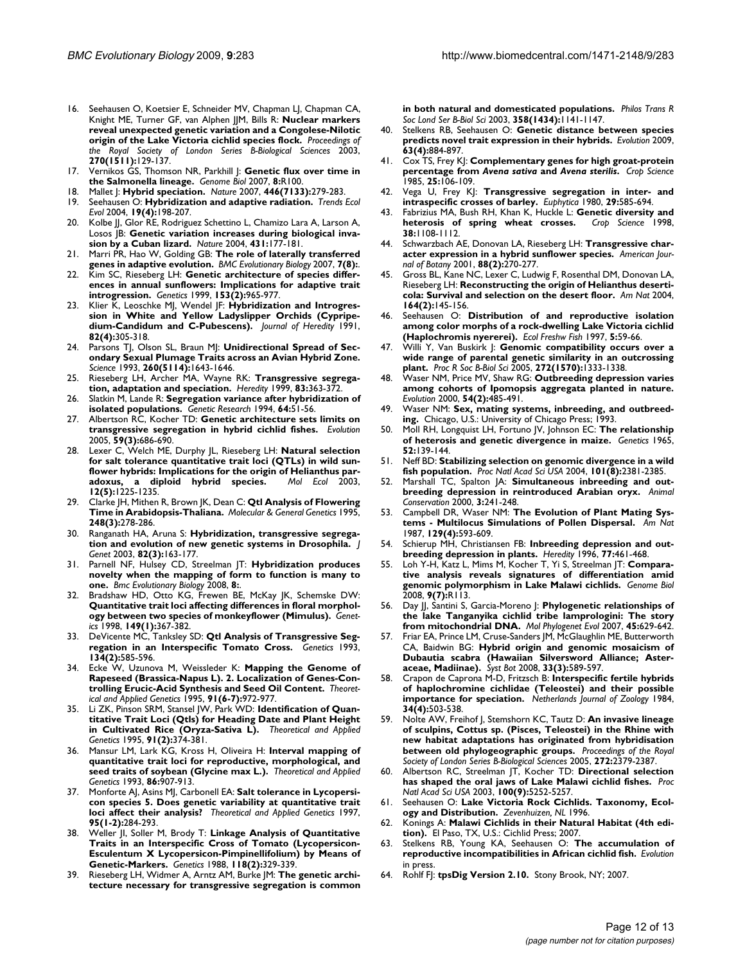- <span id="page-11-1"></span>16. Seehausen O, Koetsier E, Schneider MV, Chapman LJ, Chapman CA, Knight ME, Turner GF, van Alphen JJM, Bills R: **Nuclear markers reveal unexpected genetic variation and a Congolese-Nilotic origin of the Lake Victoria cichlid species flock.** *Proceedings of the Royal Society of London Series B-Biological Sciences* 2003, **270(1511):**129-137.
- <span id="page-11-2"></span>17. Vernikos GS, Thomson NR, Parkhill J: **[Genetic flux over time in](http://www.ncbi.nlm.nih.gov/entrez/query.fcgi?cmd=Retrieve&db=PubMed&dopt=Abstract&list_uids=17547764) [the Salmonella lineage.](http://www.ncbi.nlm.nih.gov/entrez/query.fcgi?cmd=Retrieve&db=PubMed&dopt=Abstract&list_uids=17547764)** *Genome Biol* 2007, **8:**R100.
- <span id="page-11-3"></span>18. Mallet J: **[Hybrid speciation.](http://www.ncbi.nlm.nih.gov/entrez/query.fcgi?cmd=Retrieve&db=PubMed&dopt=Abstract&list_uids=17361174)** *Nature* 2007, **446(7133):**279-283.
- <span id="page-11-4"></span>19. Seehausen O: **[Hybridization and adaptive radiation.](http://www.ncbi.nlm.nih.gov/entrez/query.fcgi?cmd=Retrieve&db=PubMed&dopt=Abstract&list_uids=16701254)** *Trends Ecol Evol* 2004, **19(4):**198-207.
- <span id="page-11-5"></span>20. Kolbe JJ, Glor RE, Rodriguez Schettino L, Chamizo Lara A, Larson A, Losos JB: **[Genetic variation increases during biological inva](http://www.ncbi.nlm.nih.gov/entrez/query.fcgi?cmd=Retrieve&db=PubMed&dopt=Abstract&list_uids=15356629)[sion by a Cuban lizard.](http://www.ncbi.nlm.nih.gov/entrez/query.fcgi?cmd=Retrieve&db=PubMed&dopt=Abstract&list_uids=15356629)** *Nature* 2004, **431:**177-181.
- <span id="page-11-6"></span>21. Marri PR, Hao W, Golding GB: **[The role of laterally transferred](http://www.ncbi.nlm.nih.gov/entrez/query.fcgi?cmd=Retrieve&db=PubMed&dopt=Abstract&list_uids=17288581) [genes in adaptive evolution.](http://www.ncbi.nlm.nih.gov/entrez/query.fcgi?cmd=Retrieve&db=PubMed&dopt=Abstract&list_uids=17288581)** *BMC Evolutionary Biology* 2007, **7(8):**.
- <span id="page-11-7"></span>22. Kim SC, Rieseberg LH: **[Genetic architecture of species differ](http://www.ncbi.nlm.nih.gov/entrez/query.fcgi?cmd=Retrieve&db=PubMed&dopt=Abstract&list_uids=10511571)[ences in annual sunflowers: Implications for adaptive trait](http://www.ncbi.nlm.nih.gov/entrez/query.fcgi?cmd=Retrieve&db=PubMed&dopt=Abstract&list_uids=10511571) [introgression.](http://www.ncbi.nlm.nih.gov/entrez/query.fcgi?cmd=Retrieve&db=PubMed&dopt=Abstract&list_uids=10511571)** *Genetics* 1999, **153(2):**965-977.
- 23. Klier K, Leoschke MJ, Wendel JF: **Hybridization and Introgression in White and Yellow Ladyslipper Orchids (Cypripedium-Candidum and C-Pubescens).** *Journal of Heredity* 1991, **82(4):**305-318.
- <span id="page-11-8"></span>24. Parsons TJ, Olson SL, Braun MJ: **[Unidirectional Spread of Sec](http://www.ncbi.nlm.nih.gov/entrez/query.fcgi?cmd=Retrieve&db=PubMed&dopt=Abstract&list_uids=17810207)[ondary Sexual Plumage Traits across an Avian Hybrid Zone.](http://www.ncbi.nlm.nih.gov/entrez/query.fcgi?cmd=Retrieve&db=PubMed&dopt=Abstract&list_uids=17810207)** *Science* 1993, **260(5114):**1643-1646.
- <span id="page-11-9"></span>25. Rieseberg LH, Archer MA, Wayne RK: **[Transgressive segrega](http://www.ncbi.nlm.nih.gov/entrez/query.fcgi?cmd=Retrieve&db=PubMed&dopt=Abstract&list_uids=10583537)[tion, adaptation and speciation.](http://www.ncbi.nlm.nih.gov/entrez/query.fcgi?cmd=Retrieve&db=PubMed&dopt=Abstract&list_uids=10583537)** *Heredity* 1999, **83:**363-372.
- <span id="page-11-10"></span>26. Slatkin M, Lande R: **Segregation variance after hybridization of isolated populations.** *Genetic Research* 1994, **64:**51-56.
- <span id="page-11-11"></span>27. Albertson RC, Kocher TD: **[Genetic architecture sets limits on](http://www.ncbi.nlm.nih.gov/entrez/query.fcgi?cmd=Retrieve&db=PubMed&dopt=Abstract&list_uids=15856710) [transgressive segregation in hybrid cichlid fishes.](http://www.ncbi.nlm.nih.gov/entrez/query.fcgi?cmd=Retrieve&db=PubMed&dopt=Abstract&list_uids=15856710)** *Evolution* 2005, **59(3):**686-690.
- <span id="page-11-12"></span>28. Lexer C, Welch ME, Durphy JL, Rieseberg LH: **[Natural selection](http://www.ncbi.nlm.nih.gov/entrez/query.fcgi?cmd=Retrieve&db=PubMed&dopt=Abstract&list_uids=12694286) for salt tolerance quantitative trait loci (QTLs) in wild sun[flower hybrids: Implications for the origin of Helianthus par](http://www.ncbi.nlm.nih.gov/entrez/query.fcgi?cmd=Retrieve&db=PubMed&dopt=Abstract&list_uids=12694286)**[adoxus, a diploid hybrid species.](http://www.ncbi.nlm.nih.gov/entrez/query.fcgi?cmd=Retrieve&db=PubMed&dopt=Abstract&list_uids=12694286) **12(5):**1225-1235.
- <span id="page-11-13"></span>29. Clarke JH, Mithen R, Brown JK, Dean C: **Qtl Analysis of Flowering Time in Arabidopsis-Thaliana.** *Molecular & General Genetics* 1995, **248(3):**278-286.
- <span id="page-11-14"></span>30. Ranganath HA, Aruna S: **[Hybridization, transgressive segrega](http://www.ncbi.nlm.nih.gov/entrez/query.fcgi?cmd=Retrieve&db=PubMed&dopt=Abstract&list_uids=15133193)[tion and evolution of new genetic systems in Drosophila.](http://www.ncbi.nlm.nih.gov/entrez/query.fcgi?cmd=Retrieve&db=PubMed&dopt=Abstract&list_uids=15133193)** *J Genet* 2003, **82(3):**163-177.
- <span id="page-11-15"></span>31. Parnell NF, Hulsey CD, Streelman JT: **[Hybridization produces](http://www.ncbi.nlm.nih.gov/entrez/query.fcgi?cmd=Retrieve&db=PubMed&dopt=Abstract&list_uids=18442407) [novelty when the mapping of form to function is many to](http://www.ncbi.nlm.nih.gov/entrez/query.fcgi?cmd=Retrieve&db=PubMed&dopt=Abstract&list_uids=18442407) [one.](http://www.ncbi.nlm.nih.gov/entrez/query.fcgi?cmd=Retrieve&db=PubMed&dopt=Abstract&list_uids=18442407)** *Bmc Evolutionary Biology* 2008, **8:**.
- <span id="page-11-16"></span>32. Bradshaw HD, Otto KG, Frewen BE, McKay JK, Schemske DW: **[Quantitative trait loci affecting differences in floral morphol](http://www.ncbi.nlm.nih.gov/entrez/query.fcgi?cmd=Retrieve&db=PubMed&dopt=Abstract&list_uids=9584110)[ogy between two species of monkeyflower \(Mimulus\).](http://www.ncbi.nlm.nih.gov/entrez/query.fcgi?cmd=Retrieve&db=PubMed&dopt=Abstract&list_uids=9584110)** *Genetics* 1998, **149(1):**367-382.
- <span id="page-11-18"></span>33. DeVicente MC, Tanksley SD: **[Qtl Analysis of Transgressive Seg](http://www.ncbi.nlm.nih.gov/entrez/query.fcgi?cmd=Retrieve&db=PubMed&dopt=Abstract&list_uids=8100788)[regation in an Interspecific Tomato Cross.](http://www.ncbi.nlm.nih.gov/entrez/query.fcgi?cmd=Retrieve&db=PubMed&dopt=Abstract&list_uids=8100788)** *Genetics* 1993, **134(2):**585-596.
- 34. Ecke W, Uzunova M, Weissleder K: **Mapping the Genome of Rapeseed (Brassica-Napus L). 2. Localization of Genes-Controlling Erucic-Acid Synthesis and Seed Oil Content.** *Theoretical and Applied Genetics* 1995, **91(6-7):**972-977.
- 35. Li ZK, Pinson SRM, Stansel JW, Park WD: **Identification of Quantitative Trait Loci (Qtls) for Heading Date and Plant Height in Cultivated Rice (Oryza-Sativa L).** *Theoretical and Applied Genetics* 1995, **91(2):**374-381.
- <span id="page-11-19"></span>36. Mansur LM, Lark KG, Kross H, Oliveira H: **Interval mapping of quantitative trait loci for reproductive, morphological, and seed traits of soybean (Glycine max L.).** *Theoretical and Applied Genetics* 1993, **86:**907-913.
- 37. Monforte AJ, Asins MJ, Carbonell EA: **Salt tolerance in Lycopersicon species 5. Does genetic variability at quantitative trait loci affect their analysis?** *Theoretical and Applied Genetics* 1997, **95(1-2):**284-293.
- 38. Weller JI, Soller M, Brody T: **[Linkage Analysis of Quantitative](http://www.ncbi.nlm.nih.gov/entrez/query.fcgi?cmd=Retrieve&db=PubMed&dopt=Abstract&list_uids=17246412) Traits in an Interspecific Cross of Tomato (Lycopersicon-[Esculentum X Lycopersicon-Pimpinellifolium\) by Means of](http://www.ncbi.nlm.nih.gov/entrez/query.fcgi?cmd=Retrieve&db=PubMed&dopt=Abstract&list_uids=17246412) [Genetic-Markers.](http://www.ncbi.nlm.nih.gov/entrez/query.fcgi?cmd=Retrieve&db=PubMed&dopt=Abstract&list_uids=17246412)** *Genetics* 1988, **118(2):**329-339.
- <span id="page-11-17"></span>39. Rieseberg LH, Widmer A, Arntz AM, Burke JM: **The genetic architecture necessary for transgressive segregation is common**

**in both natural and domesticated populations.** *Philos Trans R Soc Lond Ser B-Biol Sci* 2003, **358(1434):**1141-1147.

- <span id="page-11-0"></span>40. Stelkens RB, Seehausen O: **[Genetic distance between species](http://www.ncbi.nlm.nih.gov/entrez/query.fcgi?cmd=Retrieve&db=PubMed&dopt=Abstract&list_uids=19220450) [predicts novel trait expression in their hybrids.](http://www.ncbi.nlm.nih.gov/entrez/query.fcgi?cmd=Retrieve&db=PubMed&dopt=Abstract&list_uids=19220450)** *Evolution* 2009, **63(4):**884-897.
- <span id="page-11-20"></span>41. Cox TS, Frey KJ: **Complementary genes for high groat-protein percentage from** *Avena sativa* **and** *Avena sterilis***.** *Crop Science* 1985, **25:**106-109.
- 42. Vega U, Frey KJ: **Transgressive segregation in inter- and intraspecific crosses of barley.** *Euphytica* 1980, **29:**585-694.
- <span id="page-11-21"></span>43. Fabrizius MA, Bush RH, Khan K, Huckle L: **Genetic diversity and heterosis of spring wheat crosses.** *Crop Science* 1998, **38:**1108-1112.
- <span id="page-11-23"></span>44. Schwarzbach AE, Donovan LA, Rieseberg LH: **[Transgressive char](http://www.ncbi.nlm.nih.gov/entrez/query.fcgi?cmd=Retrieve&db=PubMed&dopt=Abstract&list_uids=11222249)[acter expression in a hybrid sunflower species.](http://www.ncbi.nlm.nih.gov/entrez/query.fcgi?cmd=Retrieve&db=PubMed&dopt=Abstract&list_uids=11222249)** *American Journal of Botany* 2001, **88(2):**270-277.
- <span id="page-11-22"></span>45. Gross BL, Kane NC, Lexer C, Ludwig F, Rosenthal DM, Donovan LA, Rieseberg LH: **[Reconstructing the origin of Helianthus deserti](http://www.ncbi.nlm.nih.gov/entrez/query.fcgi?cmd=Retrieve&db=PubMed&dopt=Abstract&list_uids=15278840)[cola: Survival and selection on the desert floor.](http://www.ncbi.nlm.nih.gov/entrez/query.fcgi?cmd=Retrieve&db=PubMed&dopt=Abstract&list_uids=15278840)** *Am Nat* 2004, **164(2):**145-156.
- <span id="page-11-25"></span>46. Seehausen O: **Distribution of and reproductive isolation among color morphs of a rock-dwelling Lake Victoria cichlid (Haplochromis nyererei).** *Ecol Freshw Fish* 1997, **5:**59-66.
- <span id="page-11-26"></span>47. Willi Y, Van Buskirk J: **Genomic compatibility occurs over a wide range of parental genetic similarity in an outcrossing plant.** *Proc R Soc B-Biol Sci* 2005, **272(1570):**1333-1338.
- 48. Waser NM, Price MV, Shaw RG: **[Outbreeding depression varies](http://www.ncbi.nlm.nih.gov/entrez/query.fcgi?cmd=Retrieve&db=PubMed&dopt=Abstract&list_uids=10937225) [among cohorts of Ipomopsis aggregata planted in nature.](http://www.ncbi.nlm.nih.gov/entrez/query.fcgi?cmd=Retrieve&db=PubMed&dopt=Abstract&list_uids=10937225)** *Evolution* 2000, **54(2):**485-491.
- 49. Waser NM: **Sex, mating systems, inbreeding, and outbreeding.** Chicago, U.S.: University of Chicago Press; 1993.
- 50. Moll RH, Longquist LH, Fortuno JV, Johnson EC: **[The relationship](http://www.ncbi.nlm.nih.gov/entrez/query.fcgi?cmd=Retrieve&db=PubMed&dopt=Abstract&list_uids=17248265) [of heterosis and genetic divergence in maize.](http://www.ncbi.nlm.nih.gov/entrez/query.fcgi?cmd=Retrieve&db=PubMed&dopt=Abstract&list_uids=17248265)** *Genetics* 1965, **52:**139-144.
- 51. Neff BD: **[Stabilizing selection on genomic divergence in a wild](http://www.ncbi.nlm.nih.gov/entrez/query.fcgi?cmd=Retrieve&db=PubMed&dopt=Abstract&list_uids=14983018) [fish population.](http://www.ncbi.nlm.nih.gov/entrez/query.fcgi?cmd=Retrieve&db=PubMed&dopt=Abstract&list_uids=14983018)** *Proc Natl Acad Sci USA* 2004, **101(8):**2381-2385.
- <span id="page-11-27"></span>52. Marshall TC, Spalton JA: **Simultaneous inbreeding and outbreeding depression in reintroduced Arabian oryx.** *Animal Conservation* 2000, **3:**241-248.
- <span id="page-11-28"></span>53. Campbell DR, Waser NM: **The Evolution of Plant Mating Systems - Multilocus Simulations of Pollen Dispersal.** *Am Nat* 1987, **129(4):**593-609.
- <span id="page-11-24"></span>54. Schierup MH, Christiansen FB: **Inbreeding depression and outbreeding depression in plants.** *Heredity* 1996, **77:**461-468.
- <span id="page-11-30"></span>Loh Y-H, Katz L, Mims M, Kocher T, Yi S, Streelman JT: [Compara](http://www.ncbi.nlm.nih.gov/entrez/query.fcgi?cmd=Retrieve&db=PubMed&dopt=Abstract&list_uids=18616806)**[tive analysis reveals signatures of differentiation amid](http://www.ncbi.nlm.nih.gov/entrez/query.fcgi?cmd=Retrieve&db=PubMed&dopt=Abstract&list_uids=18616806) [genomic polymorphism in Lake Malawi cichlids.](http://www.ncbi.nlm.nih.gov/entrez/query.fcgi?cmd=Retrieve&db=PubMed&dopt=Abstract&list_uids=18616806)** *Genome Biol* 2008, **9(7):**R113.
- <span id="page-11-31"></span>56. Day JJ, Santini S, Garcia-Moreno J: **[Phylogenetic relationships of](http://www.ncbi.nlm.nih.gov/entrez/query.fcgi?cmd=Retrieve&db=PubMed&dopt=Abstract&list_uids=17416538) [the lake Tanganyika cichlid tribe lamprologini: The story](http://www.ncbi.nlm.nih.gov/entrez/query.fcgi?cmd=Retrieve&db=PubMed&dopt=Abstract&list_uids=17416538) [from mitochondrial DNA.](http://www.ncbi.nlm.nih.gov/entrez/query.fcgi?cmd=Retrieve&db=PubMed&dopt=Abstract&list_uids=17416538)** *Mol Phylogenet Evol* 2007, **45:**629-642.
- <span id="page-11-32"></span>57. Friar EA, Prince LM, Cruse-Sanders JM, McGlaughlin ME, Butterworth CA, Baidwin BG: **Hybrid origin and genomic mosaicism of Dubautia scabra (Hawaiian Silversword Alliance; Asteraceae, Madiinae).** *Syst Bot* 2008, **33(3):**589-597.
- <span id="page-11-29"></span>58. Crapon de Caprona M-D, Fritzsch B: **Interspecific fertile hybrids of haplochromine cichlidae (Teleostei) and their possible importance for speciation.** *Netherlands Journal of Zoology* 1984, **34(4):**503-538.
- <span id="page-11-33"></span>59. Nolte AW, Freihof J, Stemshorn KC, Tautz D: **An invasive lineage of sculpins, Cottus sp. (Pisces, Teleostei) in the Rhine with new habitat adaptations has originated from hybridisation between old phylogeographic groups.** *Proceedings of the Royal Society of London Series B-Biological Sciences* 2005, **272:**2379-2387.
- <span id="page-11-34"></span>60. Albertson RC, Streelman JT, Kocher TD: **[Directional selection](http://www.ncbi.nlm.nih.gov/entrez/query.fcgi?cmd=Retrieve&db=PubMed&dopt=Abstract&list_uids=12704237) [has shaped the oral jaws of Lake Malawi cichlid fishes.](http://www.ncbi.nlm.nih.gov/entrez/query.fcgi?cmd=Retrieve&db=PubMed&dopt=Abstract&list_uids=12704237)** *Proc Natl Acad Sci USA* 2003, **100(9):**5252-5257.
- <span id="page-11-35"></span>Seehausen O: Lake Victoria Rock Cichlids. Taxonomy, Ecol**ogy and Distribution.** *Zevenhuizen, NL* 1996.
- <span id="page-11-36"></span>62. Konings A: **Malawi Cichlids in their Natural Habitat (4th edition).** El Paso, TX, U.S.: Cichlid Press; 2007.
- <span id="page-11-37"></span>63. Stelkens RB, Young KA, Seehausen O: **[The accumulation of](http://www.ncbi.nlm.nih.gov/entrez/query.fcgi?cmd=Retrieve&db=PubMed&dopt=Abstract&list_uids=19796149) [reproductive incompatibilities in African cichlid fish.](http://www.ncbi.nlm.nih.gov/entrez/query.fcgi?cmd=Retrieve&db=PubMed&dopt=Abstract&list_uids=19796149)** *Evolution* in press.
- <span id="page-11-38"></span>64. Rohlf FJ: **tpsDig Version 2.10.** Stony Brook, NY; 2007.